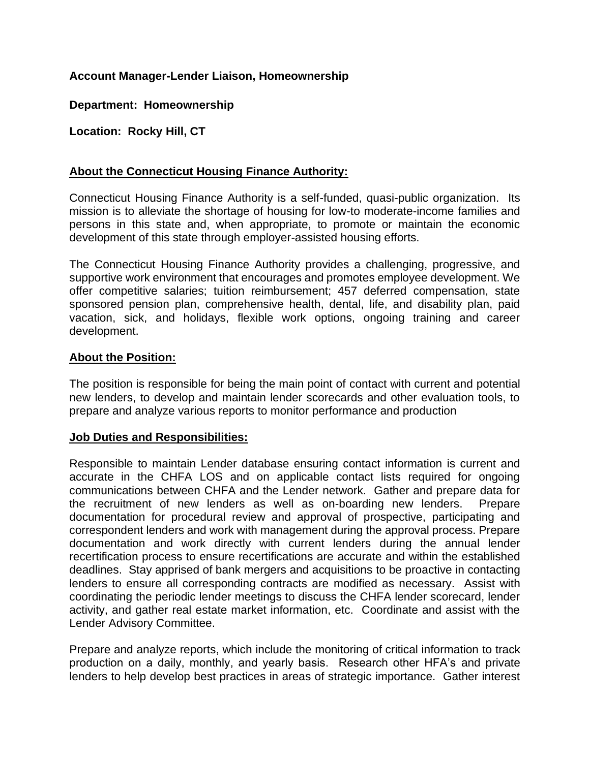# **Account Manager-Lender Liaison, Homeownership**

**Department: Homeownership**

**Location: Rocky Hill, CT**

## **About the Connecticut Housing Finance Authority:**

Connecticut Housing Finance Authority is a self-funded, quasi-public organization. Its mission is to alleviate the shortage of housing for low-to moderate-income families and persons in this state and, when appropriate, to promote or maintain the economic development of this state through employer-assisted housing efforts.

The Connecticut Housing Finance Authority provides a challenging, progressive, and supportive work environment that encourages and promotes employee development. We offer competitive salaries; tuition reimbursement; 457 deferred compensation, state sponsored pension plan, comprehensive health, dental, life, and disability plan, paid vacation, sick, and holidays, flexible work options, ongoing training and career development.

### **About the Position:**

The position is responsible for being the main point of contact with current and potential new lenders, to develop and maintain lender scorecards and other evaluation tools, to prepare and analyze various reports to monitor performance and production

#### **Job Duties and Responsibilities:**

Responsible to maintain Lender database ensuring contact information is current and accurate in the CHFA LOS and on applicable contact lists required for ongoing communications between CHFA and the Lender network. Gather and prepare data for the recruitment of new lenders as well as on-boarding new lenders. Prepare documentation for procedural review and approval of prospective, participating and correspondent lenders and work with management during the approval process. Prepare documentation and work directly with current lenders during the annual lender recertification process to ensure recertifications are accurate and within the established deadlines. Stay apprised of bank mergers and acquisitions to be proactive in contacting lenders to ensure all corresponding contracts are modified as necessary. Assist with coordinating the periodic lender meetings to discuss the CHFA lender scorecard, lender activity, and gather real estate market information, etc. Coordinate and assist with the Lender Advisory Committee.

Prepare and analyze reports, which include the monitoring of critical information to track production on a daily, monthly, and yearly basis. Research other HFA's and private lenders to help develop best practices in areas of strategic importance. Gather interest